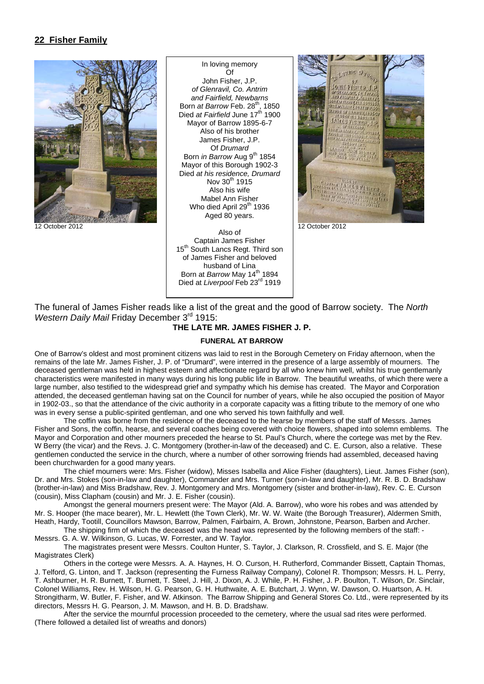# **22 Fisher Family**



In loving memory  $\bigcap_{i=1}^n$ John Fisher, J.P. *of Glenravil, Co. Antrim and Fairfield, Newbarns*  Born *at Barrow* Feb. 28th, 1850 Died *at Fairfield* June 17<sup>th</sup> 1900 Mayor of Barrow 1895-6-7 Also of his brother James Fisher, J.P. Of *Drumard*  Born *in Barrow* Aug 9<sup>th</sup> 1854 Mayor of this Borough 1902-3 Died *at his residence, Drumard*  Nov  $30^{th}$  1915 Also his wife Mabel Ann Fisher Who died April 29<sup>th</sup> 1936 Aged 80 years.

Also of Captain James Fisher 15<sup>th</sup> South Lancs Regt. Third son of James Fisher and beloved husband of Lina Born at *Barrow* May 14<sup>th</sup> 1894 Died at *Liverpool* Feb 23rd 1919



The funeral of James Fisher reads like a list of the great and the good of Barrow society. The *North Western Daily Mail* Friday December 3rd 1915:

# **THE LATE MR. JAMES FISHER J. P.**

#### **FUNERAL AT BARROW**

One of Barrow's oldest and most prominent citizens was laid to rest in the Borough Cemetery on Friday afternoon, when the remains of the late Mr. James Fisher, J. P. of "Drumard", were interred in the presence of a large assembly of mourners. The deceased gentleman was held in highest esteem and affectionate regard by all who knew him well, whilst his true gentlemanly characteristics were manifested in many ways during his long public life in Barrow. The beautiful wreaths, of which there were a large number, also testified to the widespread grief and sympathy which his demise has created. The Mayor and Corporation attended, the deceased gentleman having sat on the Council for number of years, while he also occupied the position of Mayor in 1902-03., so that the attendance of the civic authority in a corporate capacity was a fitting tribute to the memory of one who was in every sense a public-spirited gentleman, and one who served his town faithfully and well.

 The coffin was borne from the residence of the deceased to the hearse by members of the staff of Messrs. James Fisher and Sons, the coffin, hearse, and several coaches being covered with choice flowers, shaped into solemn emblems. The Mayor and Corporation and other mourners preceded the hearse to St. Paul's Church, where the cortege was met by the Rev. W Berry (the vicar) and the Revs. J. C. Montgomery (brother-in-law of the deceased) and C. E. Curson, also a relative. These gentlemen conducted the service in the church, where a number of other sorrowing friends had assembled, deceased having been churchwarden for a good many years.

 The chief mourners were: Mrs. Fisher (widow), Misses Isabella and Alice Fisher (daughters), Lieut. James Fisher (son), Dr. and Mrs. Stokes (son-in-law and daughter), Commander and Mrs. Turner (son-in-law and daughter), Mr. R. B. D. Bradshaw (brother-in-law) and Miss Bradshaw, Rev. J. Montgomery and Mrs. Montgomery (sister and brother-in-law), Rev. C. E. Curson (cousin), Miss Clapham (cousin) and Mr. J. E. Fisher (cousin).

 Amongst the general mourners present were: The Mayor (Ald. A. Barrow), who wore his robes and was attended by Mr. S. Hooper (the mace bearer), Mr. L. Hewlett (the Town Clerk), Mr. W. W. Waite (the Borough Treasurer), Aldermen Smith, Heath, Hardy, Tootill, Councillors Mawson, Barrow, Palmen, Fairbairn, A. Brown, Johnstone, Pearson, Barben and Archer.

 The shipping firm of which the deceased was the head was represented by the following members of the staff: - Messrs. G. A. W. Wilkinson, G. Lucas, W. Forrester, and W. Taylor.

 The magistrates present were Messrs. Coulton Hunter, S. Taylor, J. Clarkson, R. Crossfield, and S. E. Major (the Magistrates Clerk)

 Others in the cortege were Messrs. A. A. Haynes, H. O. Curson, H. Rutherford, Commander Bissett, Captain Thomas, J. Telford, G. Linton, and T. Jackson (representing the Furness Railway Company), Colonel R. Thompson; Messrs. H. L. Perry, T. Ashburner, H. R. Burnett, T. Burnett, T. Steel, J. Hill, J. Dixon, A. J. While, P. H. Fisher, J. P. Boulton, T. Wilson, Dr. Sinclair, Colonel Williams, Rev. H. Wilson, H. G. Pearson, G. H. Huthwaite, A. E. Butchart, J. Wynn, W. Dawson, O. Huartson, A. H. Strongitharm, W. Butler, F. Fisher, and W. Atkinson. The Barrow Shipping and General Stores Co. Ltd., were represented by its directors, Messrs H. G. Pearson, J. M. Mawson, and H. B. D. Bradshaw.

 After the service the mournful procession proceeded to the cemetery, where the usual sad rites were performed. (There followed a detailed list of wreaths and donors)